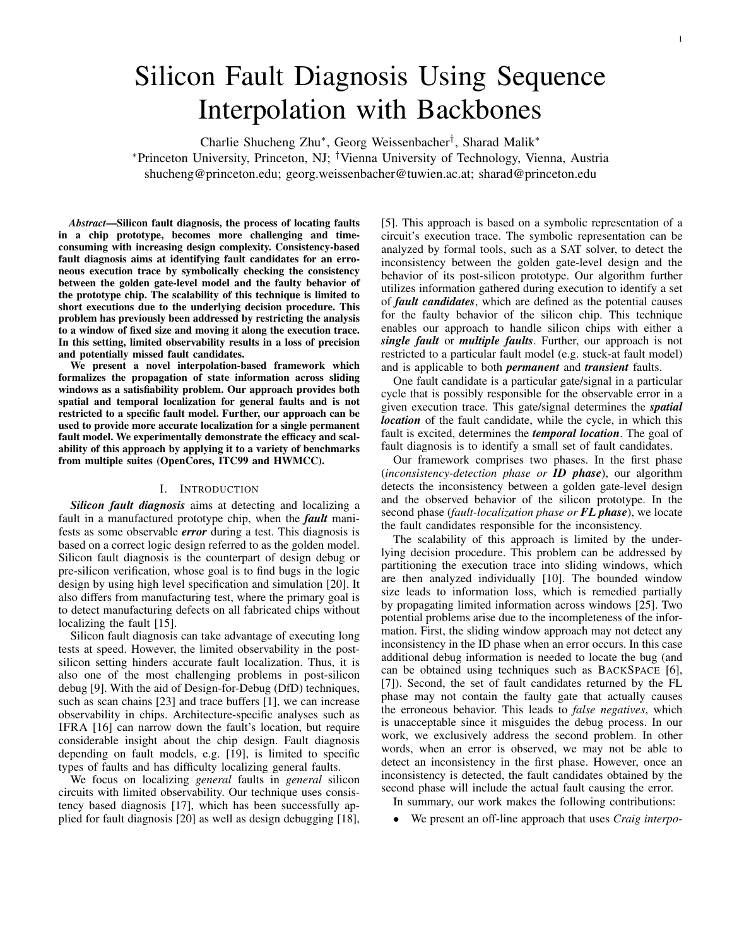# Silicon Fault Diagnosis Using Sequence Interpolation with Backbones

Charlie Shucheng Zhu<sup>∗</sup> , Georg Weissenbacher† , Sharad Malik<sup>∗</sup>

<sup>∗</sup>Princeton University, Princeton, NJ; †Vienna University of Technology, Vienna, Austria shucheng@princeton.edu; georg.weissenbacher@tuwien.ac.at; sharad@princeton.edu

*Abstract*—Silicon fault diagnosis, the process of locating faults in a chip prototype, becomes more challenging and timeconsuming with increasing design complexity. Consistency-based fault diagnosis aims at identifying fault candidates for an erroneous execution trace by symbolically checking the consistency between the golden gate-level model and the faulty behavior of the prototype chip. The scalability of this technique is limited to short executions due to the underlying decision procedure. This problem has previously been addressed by restricting the analysis to a window of fixed size and moving it along the execution trace. In this setting, limited observability results in a loss of precision and potentially missed fault candidates.

We present a novel interpolation-based framework which formalizes the propagation of state information across sliding windows as a satisfiability problem. Our approach provides both spatial and temporal localization for general faults and is not restricted to a specific fault model. Further, our approach can be used to provide more accurate localization for a single permanent fault model. We experimentally demonstrate the efficacy and scalability of this approach by applying it to a variety of benchmarks from multiple suites (OpenCores, ITC99 and HWMCC).

## I. INTRODUCTION

*Silicon fault diagnosis* aims at detecting and localizing a fault in a manufactured prototype chip, when the *fault* manifests as some observable *error* during a test. This diagnosis is based on a correct logic design referred to as the golden model. Silicon fault diagnosis is the counterpart of design debug or pre-silicon verification, whose goal is to find bugs in the logic design by using high level specification and simulation [20]. It also differs from manufacturing test, where the primary goal is to detect manufacturing defects on all fabricated chips without localizing the fault [15].

Silicon fault diagnosis can take advantage of executing long tests at speed. However, the limited observability in the postsilicon setting hinders accurate fault localization. Thus, it is also one of the most challenging problems in post-silicon debug [9]. With the aid of Design-for-Debug (DfD) techniques, such as scan chains [23] and trace buffers [1], we can increase observability in chips. Architecture-specific analyses such as IFRA [16] can narrow down the fault's location, but require considerable insight about the chip design. Fault diagnosis depending on fault models, e.g. [19], is limited to specific types of faults and has difficulty localizing general faults.

We focus on localizing *general* faults in *general* silicon circuits with limited observability. Our technique uses consistency based diagnosis [17], which has been successfully applied for fault diagnosis [20] as well as design debugging [18],

[5]. This approach is based on a symbolic representation of a circuit's execution trace. The symbolic representation can be analyzed by formal tools, such as a SAT solver, to detect the inconsistency between the golden gate-level design and the behavior of its post-silicon prototype. Our algorithm further utilizes information gathered during execution to identify a set of *fault candidates*, which are defined as the potential causes for the faulty behavior of the silicon chip. This technique enables our approach to handle silicon chips with either a *single fault* or *multiple faults*. Further, our approach is not restricted to a particular fault model (e.g. stuck-at fault model) and is applicable to both *permanent* and *transient* faults.

One fault candidate is a particular gate/signal in a particular cycle that is possibly responsible for the observable error in a given execution trace. This gate/signal determines the *spatial location* of the fault candidate, while the cycle, in which this fault is excited, determines the *temporal location*. The goal of fault diagnosis is to identify a small set of fault candidates.

Our framework comprises two phases. In the first phase (*inconsistency-detection phase or ID phase*), our algorithm detects the inconsistency between a golden gate-level design and the observed behavior of the silicon prototype. In the second phase (*fault-localization phase or FL phase*), we locate the fault candidates responsible for the inconsistency.

The scalability of this approach is limited by the underlying decision procedure. This problem can be addressed by partitioning the execution trace into sliding windows, which are then analyzed individually [10]. The bounded window size leads to information loss, which is remedied partially by propagating limited information across windows [25]. Two potential problems arise due to the incompleteness of the information. First, the sliding window approach may not detect any inconsistency in the ID phase when an error occurs. In this case additional debug information is needed to locate the bug (and can be obtained using techniques such as BACKSPACE [6], [7]). Second, the set of fault candidates returned by the FL phase may not contain the faulty gate that actually causes the erroneous behavior. This leads to *false negatives*, which is unacceptable since it misguides the debug process. In our work, we exclusively address the second problem. In other words, when an error is observed, we may not be able to detect an inconsistency in the first phase. However, once an inconsistency is detected, the fault candidates obtained by the second phase will include the actual fault causing the error.

In summary, our work makes the following contributions:

• We present an off-line approach that uses *Craig interpo-*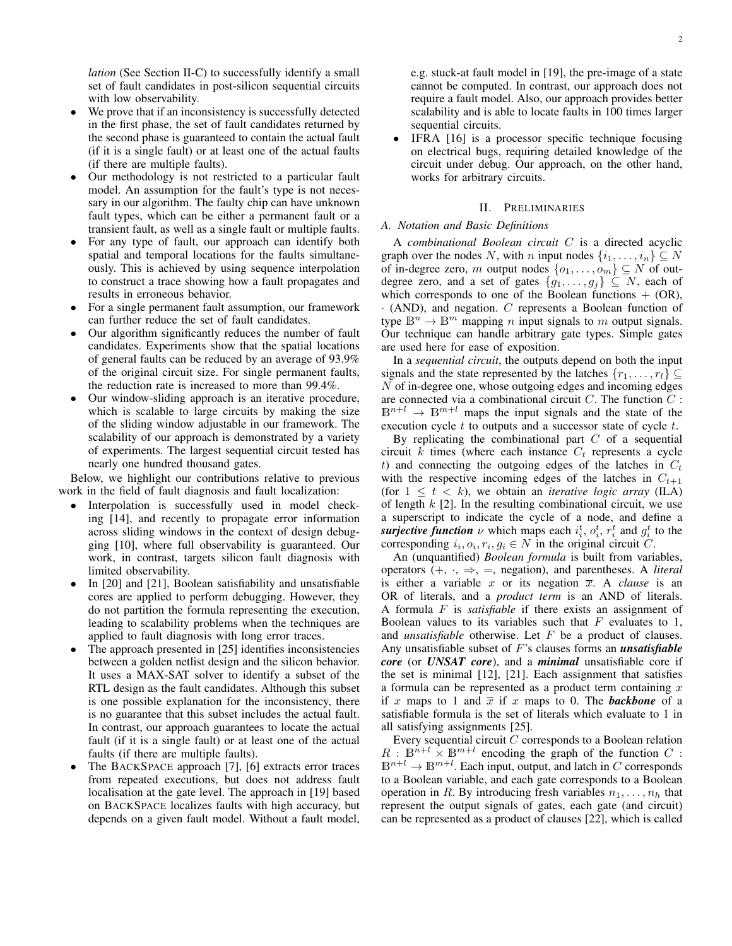*lation* (See Section II-C) to successfully identify a small set of fault candidates in post-silicon sequential circuits with low observability.

- We prove that if an inconsistency is successfully detected in the first phase, the set of fault candidates returned by the second phase is guaranteed to contain the actual fault (if it is a single fault) or at least one of the actual faults (if there are multiple faults).
- Our methodology is not restricted to a particular fault model. An assumption for the fault's type is not necessary in our algorithm. The faulty chip can have unknown fault types, which can be either a permanent fault or a transient fault, as well as a single fault or multiple faults.
- For any type of fault, our approach can identify both spatial and temporal locations for the faults simultaneously. This is achieved by using sequence interpolation to construct a trace showing how a fault propagates and results in erroneous behavior.
- For a single permanent fault assumption, our framework can further reduce the set of fault candidates.
- Our algorithm significantly reduces the number of fault candidates. Experiments show that the spatial locations of general faults can be reduced by an average of 93.9% of the original circuit size. For single permanent faults, the reduction rate is increased to more than 99.4%.
- Our window-sliding approach is an iterative procedure, which is scalable to large circuits by making the size of the sliding window adjustable in our framework. The scalability of our approach is demonstrated by a variety of experiments. The largest sequential circuit tested has nearly one hundred thousand gates.

Below, we highlight our contributions relative to previous work in the field of fault diagnosis and fault localization:

- Interpolation is successfully used in model checking [14], and recently to propagate error information across sliding windows in the context of design debugging [10], where full observability is guaranteed. Our work, in contrast, targets silicon fault diagnosis with limited observability.
- In [20] and [21], Boolean satisfiability and unsatisfiable cores are applied to perform debugging. However, they do not partition the formula representing the execution, leading to scalability problems when the techniques are applied to fault diagnosis with long error traces.
- The approach presented in [25] identifies inconsistencies between a golden netlist design and the silicon behavior. It uses a MAX-SAT solver to identify a subset of the RTL design as the fault candidates. Although this subset is one possible explanation for the inconsistency, there is no guarantee that this subset includes the actual fault. In contrast, our approach guarantees to locate the actual fault (if it is a single fault) or at least one of the actual faults (if there are multiple faults).
- The BACKSPACE approach [7], [6] extracts error traces from repeated executions, but does not address fault localisation at the gate level. The approach in [19] based on BACKSPACE localizes faults with high accuracy, but depends on a given fault model. Without a fault model,

e.g. stuck-at fault model in [19], the pre-image of a state cannot be computed. In contrast, our approach does not require a fault model. Also, our approach provides better scalability and is able to locate faults in 100 times larger sequential circuits.

IFRA [16] is a processor specific technique focusing on electrical bugs, requiring detailed knowledge of the circuit under debug. Our approach, on the other hand, works for arbitrary circuits.

#### II. PRELIMINARIES

#### *A. Notation and Basic Definitions*

A *combinational Boolean circuit* C is a directed acyclic graph over the nodes N, with n input nodes  $\{i_1, \ldots, i_n\} \subseteq N$ of in-degree zero, m output nodes  $\{o_1, \ldots, o_m\} \subseteq N$  of outdegree zero, and a set of gates  $\{g_1, \ldots, g_j\} \subseteq N$ , each of which corresponds to one of the Boolean functions  $+$  (OR),  $\cdot$  (AND), and negation.  $C$  represents a Boolean function of type  $\mathbb{B}^n \to \mathbb{B}^m$  mapping *n* input signals to *m* output signals. Our technique can handle arbitrary gate types. Simple gates are used here for ease of exposition.

In a *sequential circuit*, the outputs depend on both the input signals and the state represented by the latches  $\{r_1, \ldots, r_l\} \subseteq$ N of in-degree one, whose outgoing edges and incoming edges are connected via a combinational circuit  $C$ . The function  $C$ :  $\mathbb{B}^{n+l} \to \mathbb{B}^{m+l}$  maps the input signals and the state of the execution cycle  $t$  to outputs and a successor state of cycle  $t$ .

By replicating the combinational part  $C$  of a sequential circuit  $k$  times (where each instance  $C_t$  represents a cycle t) and connecting the outgoing edges of the latches in  $C_t$ with the respective incoming edges of the latches in  $C_{t+1}$ (for  $1 \leq t \leq k$ ), we obtain an *iterative logic array* (ILA) of length  $k$  [2]. In the resulting combinational circuit, we use a superscript to indicate the cycle of a node, and define a *surjective function*  $\nu$  which maps each  $i_i^t$ ,  $o_i^t$ ,  $r_i^t$  and  $g_i^t$  to the corresponding  $i_i, o_i, r_i, g_i \in N$  in the original circuit C.

An (unquantified) *Boolean formula* is built from variables, operators  $(+, \cdot, \Rightarrow, =,$  negation), and parentheses. A *literal* is either a variable  $x$  or its negation  $\overline{x}$ . A *clause* is an OR of literals, and a *product term* is an AND of literals. A formula F is *satisfiable* if there exists an assignment of Boolean values to its variables such that  $F$  evaluates to 1, and *unsatisfiable* otherwise. Let F be a product of clauses. Any unsatisfiable subset of F's clauses forms an *unsatisfiable core* (or *UNSAT core*), and a *minimal* unsatisfiable core if the set is minimal [12], [21]. Each assignment that satisfies a formula can be represented as a product term containing  $x$ if x maps to 1 and  $\overline{x}$  if x maps to 0. The **backbone** of a satisfiable formula is the set of literals which evaluate to 1 in all satisfying assignments [25].

Every sequential circuit C corresponds to a Boolean relation  $R: \mathbb{B}^{n+l} \times \mathbb{B}^{m+l}$  encoding the graph of the function  $C$ :  $\mathbb{B}^{n+l} \to \mathbb{B}^{m+l}$ . Each input, output, and latch in C corresponds to a Boolean variable, and each gate corresponds to a Boolean operation in R. By introducing fresh variables  $n_1, \ldots, n_h$  that represent the output signals of gates, each gate (and circuit) can be represented as a product of clauses [22], which is called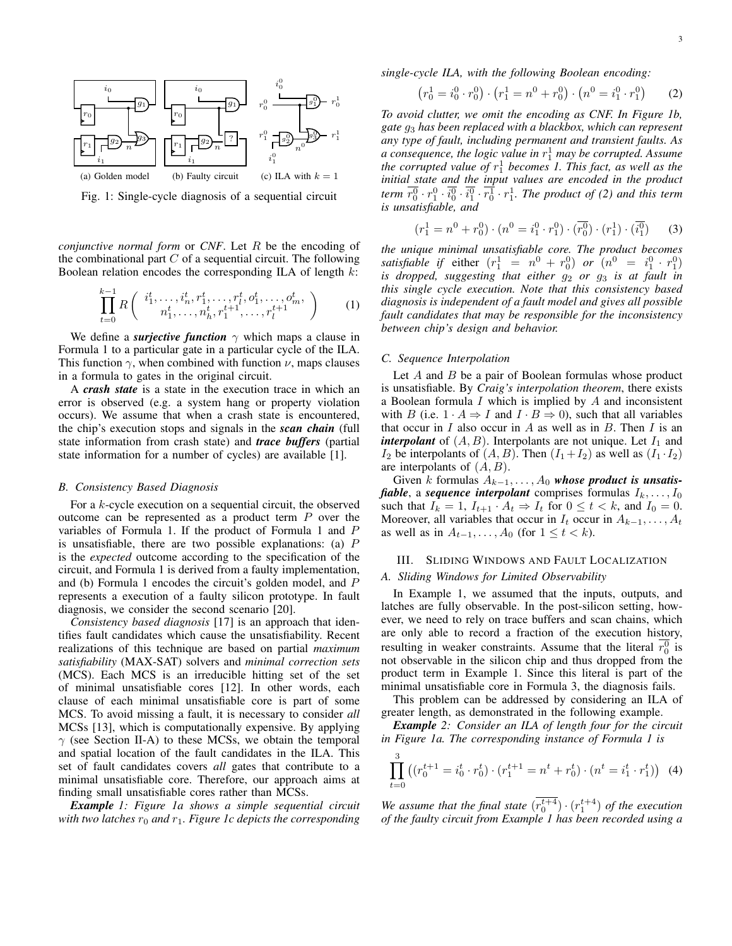

Fig. 1: Single-cycle diagnosis of a sequential circuit

*conjunctive normal form* or *CNF*. Let R be the encoding of the combinational part  $C$  of a sequential circuit. The following Boolean relation encodes the corresponding ILA of length  $k$ :

$$
\prod_{t=0}^{k-1} R\left(\begin{array}{c} i_1^t, \dots, i_n^t, r_1^t, \dots, r_l^t, o_1^t, \dots, o_m^t, \\ n_1^t, \dots, n_h^t, r_1^{t+1}, \dots, r_l^{t+1} \end{array}\right) \tag{1}
$$

We define a *surjective function*  $\gamma$  which maps a clause in Formula 1 to a particular gate in a particular cycle of the ILA. This function  $\gamma$ , when combined with function  $\nu$ , maps clauses in a formula to gates in the original circuit.

A *crash state* is a state in the execution trace in which an error is observed (e.g. a system hang or property violation occurs). We assume that when a crash state is encountered, the chip's execution stops and signals in the *scan chain* (full state information from crash state) and *trace buffers* (partial state information for a number of cycles) are available [1].

#### *B. Consistency Based Diagnosis*

For a k-cycle execution on a sequential circuit, the observed outcome can be represented as a product term  $P$  over the variables of Formula 1. If the product of Formula 1 and P is unsatisfiable, there are two possible explanations: (a)  $P$ is the *expected* outcome according to the specification of the circuit, and Formula 1 is derived from a faulty implementation, and (b) Formula 1 encodes the circuit's golden model, and P represents a execution of a faulty silicon prototype. In fault diagnosis, we consider the second scenario [20].

*Consistency based diagnosis* [17] is an approach that identifies fault candidates which cause the unsatisfiability. Recent realizations of this technique are based on partial *maximum satisfiability* (MAX-SAT) solvers and *minimal correction sets* (MCS). Each MCS is an irreducible hitting set of the set of minimal unsatisfiable cores [12]. In other words, each clause of each minimal unsatisfiable core is part of some MCS. To avoid missing a fault, it is necessary to consider *all* MCSs [13], which is computationally expensive. By applying  $\gamma$  (see Section II-A) to these MCSs, we obtain the temporal and spatial location of the fault candidates in the ILA. This set of fault candidates covers *all* gates that contribute to a minimal unsatisfiable core. Therefore, our approach aims at finding small unsatisfiable cores rather than MCSs.

*Example 1: Figure 1a shows a simple sequential circuit with two latches*  $r_0$  *and*  $r_1$ *. Figure 1c depicts the corresponding*  *single-cycle ILA, with the following Boolean encoding:*

$$
(r_0^1 = i_0^0 \cdot r_0^0) \cdot (r_1^1 = n^0 + r_0^0) \cdot (n^0 = i_1^0 \cdot r_1^0) \tag{2}
$$

*To avoid clutter, we omit the encoding as CNF. In Figure 1b, gate* g<sup>3</sup> *has been replaced with a blackbox, which can represent any type of fault, including permanent and transient faults. As a consequence, the logic value in* r 1 <sup>1</sup> *may be corrupted. Assume the corrupted value of* r 1 <sup>1</sup> *becomes 1. This fact, as well as the initial state and the input values are encoded in the product* term  $\overline{r_0^0} \cdot \overline{r_1^0} \cdot \overline{i_0^0} \cdot \overline{r_1^1} \cdot \overline{r_1^1}$ . The product of (2) and this term *is unsatisfiable, and*

$$
(r_1^1 = n^0 + r_0^0) \cdot (n^0 = i_1^0 \cdot r_1^0) \cdot (\overline{r_0^0}) \cdot (r_1^1) \cdot (\overline{i_1^0}) \tag{3}
$$

*the unique minimal unsatisfiable core. The product becomes satisfiable if* either  $(r_1^1 = n^0 + r_0^0)$  *or*  $(n^0 = i_1^0 \cdot r_1^0)$ *is dropped, suggesting that either*  $g_2$  *or*  $g_3$  *is at fault in this single cycle execution. Note that this consistency based diagnosis is independent of a fault model and gives all possible fault candidates that may be responsible for the inconsistency between chip's design and behavior.*

### *C. Sequence Interpolation*

Let  $A$  and  $B$  be a pair of Boolean formulas whose product is unsatisfiable. By *Craig's interpolation theorem*, there exists a Boolean formula  $I$  which is implied by  $A$  and inconsistent with B (i.e.  $1 \cdot A \Rightarrow I$  and  $I \cdot B \Rightarrow 0$ ), such that all variables that occur in  $I$  also occur in  $A$  as well as in  $B$ . Then  $I$  is an *interpolant* of  $(A, B)$ . Interpolants are not unique. Let  $I_1$  and  $I_2$  be interpolants of  $(A, B)$ . Then  $(I_1 + I_2)$  as well as  $(I_1 \cdot I_2)$ are interpolants of  $(A, B)$ .

Given k formulas  $A_{k-1}, \ldots, A_0$  whose product is unsatis*fiable*, a *sequence interpolant* comprises formulas  $I_k, \ldots, I_0$ such that  $I_k = 1$ ,  $I_{t+1} \cdot A_t \Rightarrow I_t$  for  $0 \le t < k$ , and  $I_0 = 0$ . Moreover, all variables that occur in  $I_t$  occur in  $A_{k-1}, \ldots, A_t$ as well as in  $A_{t-1}, \ldots, A_0$  (for  $1 \leq t < k$ ).

#### III. SLIDING WINDOWS AND FAULT LOCALIZATION

## *A. Sliding Windows for Limited Observability*

In Example 1, we assumed that the inputs, outputs, and latches are fully observable. In the post-silicon setting, however, we need to rely on trace buffers and scan chains, which are only able to record a fraction of the execution history, resulting in weaker constraints. Assume that the literal  $\overline{r_0^0}$  is not observable in the silicon chip and thus dropped from the product term in Example 1. Since this literal is part of the minimal unsatisfiable core in Formula 3, the diagnosis fails.

This problem can be addressed by considering an ILA of greater length, as demonstrated in the following example.

*Example 2: Consider an ILA of length four for the circuit in Figure 1a. The corresponding instance of Formula 1 is*

$$
\prod_{t=0}^{3} \left( \left( r_0^{t+1} = i_0^t \cdot r_0^t \right) \cdot \left( r_1^{t+1} = n^t + r_0^t \right) \cdot \left( n^t = i_1^t \cdot r_1^t \right) \right) \tag{4}
$$

We assume that the final state  $(r_0^{t+4}) \cdot (r_1^{t+4})$  of the execution *of the faulty circuit from Example 1 has been recorded using a*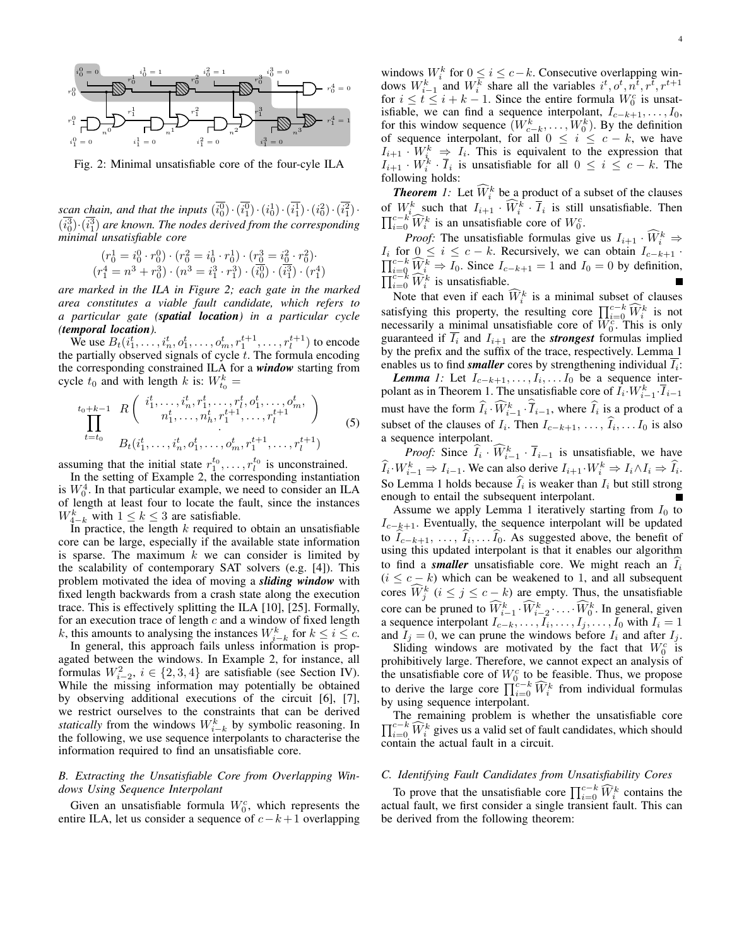

Fig. 2: Minimal unsatisfiable core of the four-cyle ILA

*scan chain, and that the inputs*  $(i_0^0) \cdot (i_1^0) \cdot (i_0^1) \cdot (i_1^1) \cdot (i_0^2) \cdot (i_1^2) \cdot$  $(i_0^3)(i_1^3)$  are known. The nodes derived from the corresponding *minimal unsatisfiable core*

$$
\begin{array}{c} (r_0^1=i_0^0\cdot r_0^0)\cdot (r_0^2=i_0^1\cdot r_0^1)\cdot (r_0^3=i_0^2\cdot r_0^2)\cdot\\ (r_1^4=n^3+r_0^3)\cdot (n^3=i_1^3\cdot r_1^3)\cdot (i_0^0)\cdot (i_1^3)\cdot (r_1^4) \end{array}
$$

*are marked in the ILA in Figure 2; each gate in the marked area constitutes a viable fault candidate, which refers to a particular gate (spatial location) in a particular cycle (temporal location).*

We use  $B_t(i_1^t, \ldots, i_n^t, o_1^t, \ldots, o_m^t, r_1^{t+1}, \ldots, r_l^{t+1})$  to encode the partially observed signals of cycle  $t$ . The formula encoding the corresponding constrained ILA for a *window* starting from cycle  $t_0$  and with length k is:  $W_{t_0}^k =$ 

$$
\prod_{t=t_0}^{t_0+k-1} \frac{R\left(\begin{array}{c}i_1^t, \dots, i_n^t, r_1^t, \dots, r_l^t, o_1^t, \dots, o_m^t, \\n_1^t, \dots, n_h^t, r_1^{t+1}, \dots, r_l^{t+1} \end{array}\right)}{B_t(i_1^t, \dots, i_n^t, o_1^t, \dots, o_m^t, r_1^{t+1}, \dots, r_l^{t+1})}
$$
(5)

assuming that the initial state  $r_1^{t_0}, \ldots, r_l^{t_0}$  is unconstrained.

In the setting of Example 2, the corresponding instantiation is  $W_0^4$ . In that particular example, we need to consider an ILA of length at least four to locate the fault, since the instances  $W_{4-k}^k$  with  $1 \leq k \leq 3$  are satisfiable.

In practice, the length  $k$  required to obtain an unsatisfiable core can be large, especially if the available state information is sparse. The maximum  $k$  we can consider is limited by the scalability of contemporary SAT solvers (e.g. [4]). This problem motivated the idea of moving a *sliding window* with fixed length backwards from a crash state along the execution trace. This is effectively splitting the ILA [10], [25]. Formally, for an execution trace of length  $c$  and a window of fixed length k, this amounts to analysing the instances  $W_{i-k}^k$  for  $k \leq i \leq c$ .

In general, this approach fails unless information is propagated between the windows. In Example 2, for instance, all formulas  $W_{i-2}^2$ ,  $i \in \{2,3,4\}$  are satisfiable (see Section IV). While the missing information may potentially be obtained by observing additional executions of the circuit [6], [7], we restrict ourselves to the constraints that can be derived *statically* from the windows  $W_{i-k}^k$  by symbolic reasoning. In the following, we use sequence interpolants to characterise the information required to find an unsatisfiable core.

# *B. Extracting the Unsatisfiable Core from Overlapping Windows Using Sequence Interpolant*

Given an unsatisfiable formula  $W_0^c$ , which represents the entire ILA, let us consider a sequence of  $c-k+1$  overlapping

windows  $W_i^k$  for  $0 \le i \le c-k$ . Consecutive overlapping windows  $W_{i-1}^k$  and  $W_i^k$  share all the variables  $i^t, o^t, n^{\overline{t}}, r^{\overline{t}}, r^{t+1}$ for  $i \leq t \leq i + k - 1$ . Since the entire formula  $W_0^c$  is unsatisfiable, we can find a sequence interpolant,  $I_{c-k+1}, \ldots, I_0$ , for this window sequence  $(W_{c-k}^k, \ldots, W_0^k)$ . By the definition of sequence interpolant, for all  $0 \le i \le c - k$ , we have  $I_{i+1} \cdot W_i^k \Rightarrow I_i$ . This is equivalent to the expression that  $I_{i+1} \cdot W_i^k \cdot \overline{I}_i$  is unsatisfiable for all  $0 \le i \le c-k$ . The following holds:

**Theorem** 1: Let  $\widehat{W}_i^k$  be a product of a subset of the clauses of  $W_i^k$  such that  $I_{i+1} \cdot \widehat{W}_i^k \cdot \overline{I}_i$  is still unsatisfiable. Then  $\prod_{i=0}^{c-k} \widehat{W}_i^k$  is an unsatisfiable core of  $W_0^c$ .

*Proof:* The unsatisfiable formulas give us  $I_{i+1} \cdot \widehat{W}_i^k \Rightarrow$  $I_i$  for  $0 \le i \le c - k$ . Recursively, we can obtain  $I_{c-k+1}$ .  $\prod_{i=0}^{c-k} \widehat{W}_i^k \Rightarrow I_0$ . Since  $I_{c-k+1} = 1$  and  $I_0 = 0$  by definition,  $\prod_{i=0}^{c-k} \widehat{W}_i^k$  is unsatisfiable.

Note that even if each  $\widehat{W}_i^k$  is a minimal subset of clauses satisfying this property, the resulting core  $\prod_{i=0}^{c-k} \widehat{W}_i^k$  is not necessarily a minimal unsatisfiable core of  $\overline{W}_0^c$ . This is only guaranteed if  $\overline{I_i}$  and  $I_{i+1}$  are the *strongest* formulas implied by the prefix and the suffix of the trace, respectively. Lemma 1 enables us to find *smaller* cores by strengthening individual  $\overline{I_i}$ :

*Lemma 1:* Let  $I_{c-k+1}, \ldots, I_i, \ldots I_0$  be a sequence interpolant as in Theorem 1. The unsatisfiable core of  $\overline{I}_i \cdot W_{i-1}^k \cdot \overline{I}_{i-1}$ must have the form  $\widehat{I}_i \cdot \widehat{W}_{i-1}^k \cdot \overline{I}_{i-1}$ , where  $\widehat{I}_i$  is a product of a subset of the clauses of  $I_i$ . Then  $I_{c-k+1}, \ldots, I_i, \ldots, I_0$  is also a sequence interpolant.

*Proof:* Since  $\widehat{I}_i \cdot \widehat{W}_{i-1}^k \cdot \overline{I}_{i-1}$  is unsatisfiable, we have  $\widehat{I}_i \cdot W_{i-1}^k \Rightarrow I_{i-1}$ . We can also derive  $I_{i+1} \cdot W_i^k \Rightarrow I_i \wedge I_i \Rightarrow \widehat{I}_i$ . So Lemma 1 holds because  $I_i$  is weaker than  $I_i$  but still strong enough to entail the subsequent interpolant.

Assume we apply Lemma 1 iteratively starting from  $I_0$  to  $I_{c-k+1}$ . Eventually, the sequence interpolant will be updated to  $I_{c-k+1}, \ldots, I_i, \ldots, I_0$ . As suggested above, the benefit of using this updated interpolant is that it enables our algorithm to find a *smaller* unsatisfiable core. We might reach an  $I_i$  $(i \leq c - k)$  which can be weakened to 1, and all subsequent cores  $\widehat{W}_j^k$   $(i \leq j \leq c - k)$  are empty. Thus, the unsatisfiable core can be pruned to  $\widehat{W}_{i-1}^k \cdot \widehat{W}_{i-2}^k \cdot \ldots \cdot \widehat{W}_{0}^k$ . In general, given a sequence interpolant  $I_{c-k}, \ldots, I_i, \ldots, I_j, \ldots, I_0$  with  $I_i = 1$ and  $I_j = 0$ , we can prune the windows before  $I_i$  and after  $I_j$ .

Sliding windows are motivated by the fact that  $W_0^c$  is prohibitively large. Therefore, we cannot expect an analysis of the unsatisfiable core of  $W_0^c$  to be feasible. Thus, we propose to derive the large core  $\prod_{i=0}^{c-k} \widehat{W}_i^k$  from individual formulas by using sequence interpolant.

 $\prod_{i=0}^{c-k} \widehat{W}_i^k$  gives us a valid set of fault candidates, which should The remaining problem is whether the unsatisfiable core contain the actual fault in a circuit.

# *C. Identifying Fault Candidates from Unsatisfiability Cores*

To prove that the unsatisfiable core  $\prod_{i=0}^{c-k} \widehat{W}_i^k$  contains the actual fault, we first consider a single transient fault. This can be derived from the following theorem: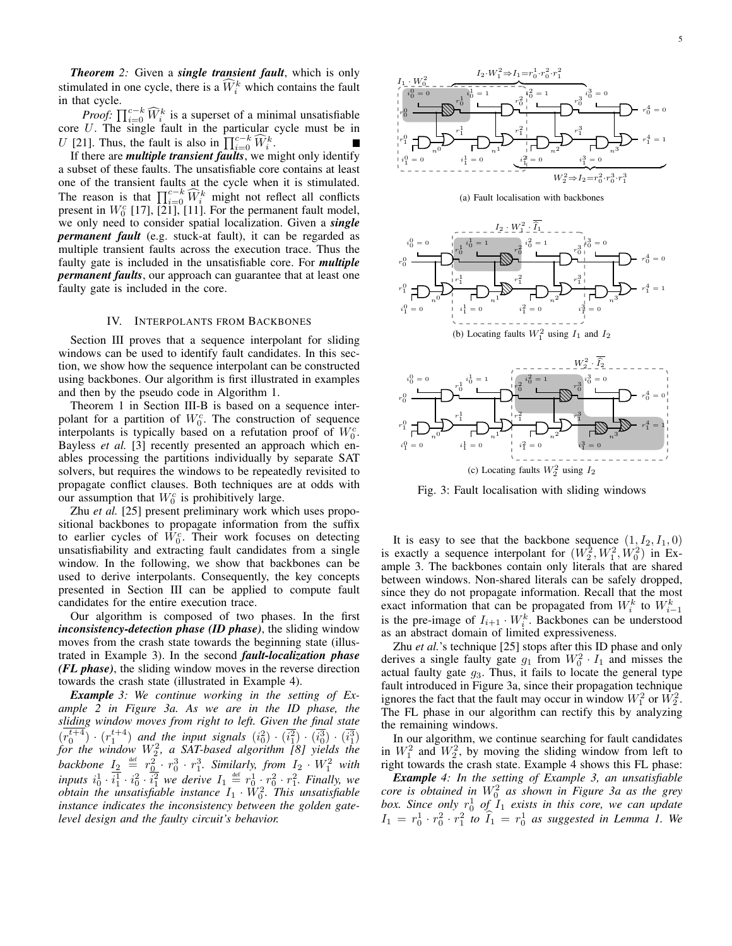*Theorem 2:* Given a *single transient fault*, which is only stimulated in one cycle, there is a  $\widehat{W}_i^k$  which contains the fault in that cycle.

*Proof:*  $\prod_{i=0}^{c-k} \widehat{W}_i^k$  is a superset of a minimal unsatisfiable core U. The single fault in the particular cycle must be in U [21]. Thus, the fault is also in  $\prod_{i=0}^{c-k} \widehat{W}_i^k$ .

If there are *multiple transient faults*, we might only identify a subset of these faults. The unsatisfiable core contains at least one of the transient faults at the cycle when it is stimulated. The reason is that  $\prod_{i=0}^{c-k} \widehat{W}_i^k$  might not reflect all conflicts present in  $W_0^c$  [17],  $\overline{[21]}$ , [11]. For the permanent fault model, we only need to consider spatial localization. Given a *single permanent fault* (e.g. stuck-at fault), it can be regarded as multiple transient faults across the execution trace. Thus the faulty gate is included in the unsatisfiable core. For *multiple permanent faults*, our approach can guarantee that at least one faulty gate is included in the core.

## IV. INTERPOLANTS FROM BACKBONES

Section III proves that a sequence interpolant for sliding windows can be used to identify fault candidates. In this section, we show how the sequence interpolant can be constructed using backbones. Our algorithm is first illustrated in examples and then by the pseudo code in Algorithm 1.

Theorem 1 in Section III-B is based on a sequence interpolant for a partition of  $W_0^c$ . The construction of sequence interpolants is typically based on a refutation proof of  $W_0^c$ . Bayless *et al.* [3] recently presented an approach which enables processing the partitions individually by separate SAT solvers, but requires the windows to be repeatedly revisited to propagate conflict clauses. Both techniques are at odds with our assumption that  $W_0^c$  is prohibitively large.

Zhu *et al.* [25] present preliminary work which uses propositional backbones to propagate information from the suffix to earlier cycles of  $\hat{W}_0^c$ . Their work focuses on detecting unsatisfiability and extracting fault candidates from a single window. In the following, we show that backbones can be used to derive interpolants. Consequently, the key concepts presented in Section III can be applied to compute fault candidates for the entire execution trace.

Our algorithm is composed of two phases. In the first *inconsistency-detection phase (ID phase)*, the sliding window moves from the crash state towards the beginning state (illustrated in Example 3). In the second *fault-localization phase (FL phase)*, the sliding window moves in the reverse direction towards the crash state (illustrated in Example 4).

*Example 3: We continue working in the setting of Example 2 in Figure 3a. As we are in the ID phase, the sliding window moves from right to left. Given the final state*  $(r_0^{t+4}) \cdot (r_1^{t+4})$  and the input signals  $(i_0^2) \cdot (\overline{i_1^2}) \cdot (\overline{i_0^3}) \cdot (\overline{i_1^3})$ *for the window* W<sup>2</sup> 2 *, a SAT-based algorithm [8] yields the* backbone  $I_2 \stackrel{\text{def}}{=} r_0^2 \cdot r_0^3 \cdot r_1^3$ . Similarly, from  $I_2 \cdot W_1^2$  with *inputs*  $i_0^1 \cdot i_1^1 \cdot i_0^2 \cdot i_1^2$  *we derive*  $I_1 \stackrel{\text{def}}{=} r_0^1 \cdot r_0^2 \cdot r_1^2$ *. Finally, we*  $o$ btain the unsatisfiable instance  $I_1 \cdot \check{W}^2_0$ . This unsatisfiable *instance indicates the inconsistency between the golden gatelevel design and the faulty circuit's behavior.*



(a) Fault localisation with backbones





Fig. 3: Fault localisation with sliding windows

It is easy to see that the backbone sequence  $(1, I_2, I_1, 0)$ is exactly a sequence interpolant for  $(W_2^2, W_1^2, W_0^2)$  in Example 3. The backbones contain only literals that are shared between windows. Non-shared literals can be safely dropped, since they do not propagate information. Recall that the most exact information that can be propagated from  $W_i^k$  to  $W_{i-1}^k$ is the pre-image of  $I_{i+1} \cdot W_i^k$ . Backbones can be understood as an abstract domain of limited expressiveness.

Zhu *et al.*'s technique [25] stops after this ID phase and only derives a single faulty gate  $g_1$  from  $W_0^2 \cdot I_1$  and misses the actual faulty gate  $g_3$ . Thus, it fails to locate the general type fault introduced in Figure 3a, since their propagation technique ignores the fact that the fault may occur in window  $W_1^2$  or  $\hat{W}_2^2$ . The FL phase in our algorithm can rectify this by analyzing the remaining windows.

In our algorithm, we continue searching for fault candidates in  $W_1^2$  and  $W_2^2$ , by moving the sliding window from left to right towards the crash state. Example 4 shows this FL phase:

*Example 4: In the setting of Example 3, an unsatisfiable core is obtained in* W<sup>2</sup> <sup>0</sup> *as shown in Figure 3a as the grey* box. Since only  $r_0^1$  of  $I_1$  exists in this core, we can update  $I_1 = r_0^1 \cdot r_0^2 \cdot r_1^2$  to  $\hat{I}_1 = r_0^1$  as suggested in Lemma 1. We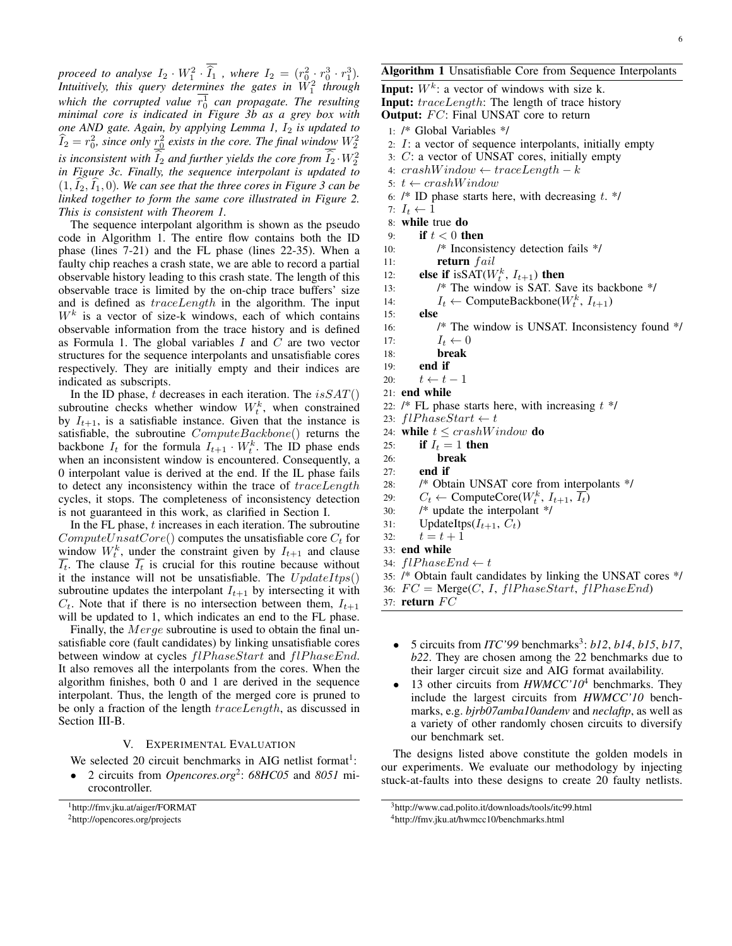*proceed to analyse*  $I_2 \cdot W_1^2 \cdot \hat{I}_1$ , where  $I_2 = (r_0^2 \cdot r_0^3 \cdot r_1^3)$ .<br>*Interimals this many determines* the externio  $W_2^2$  through Intuitively, this query determines the gates in  $\breve{W}_{1}^{2}$  through which the corrupted value  $r_0^1$  can propagate. The resulting *minimal core is indicated in Figure 3b as a grey box with one AND gate. Again, by applying Lemma 1, I<sub>2</sub> is updated to*  $\widehat{I}_2 = r_0^2$ , since only  $\frac{r_0^2}{\Delta}$  exists in the core. The final window  $W_2^2$ *is inconsistent with*  $\hat{I}_2$  *and further yields the core from*  $\hat{I}_2 \cdot W_2^2$ *in Figure 3c. Finally, the sequence interpolant is updated to*  $(1, I_2, I_1, 0)$ *. We can see that the three cores in Figure 3 can be linked together to form the same core illustrated in Figure 2. This is consistent with Theorem 1.*

The sequence interpolant algorithm is shown as the pseudo code in Algorithm 1. The entire flow contains both the ID phase (lines 7-21) and the FL phase (lines 22-35). When a faulty chip reaches a crash state, we are able to record a partial observable history leading to this crash state. The length of this observable trace is limited by the on-chip trace buffers' size and is defined as  $traceLength$  in the algorithm. The input  $W<sup>k</sup>$  is a vector of size-k windows, each of which contains observable information from the trace history and is defined as Formula 1. The global variables  $I$  and  $C$  are two vector structures for the sequence interpolants and unsatisfiable cores respectively. They are initially empty and their indices are indicated as subscripts.

In the ID phase, t decreases in each iteration. The  $isSAT()$ subroutine checks whether window  $W_t^k$ , when constrained by  $I_{t+1}$ , is a satisfiable instance. Given that the instance is satisfiable, the subroutine  $ComputeBackbone()$  returns the backbone  $I_t$  for the formula  $I_{t+1} \cdot W_t^k$ . The ID phase ends when an inconsistent window is encountered. Consequently, a 0 interpolant value is derived at the end. If the IL phase fails to detect any inconsistency within the trace of traceLength cycles, it stops. The completeness of inconsistency detection is not guaranteed in this work, as clarified in Section I.

In the FL phase,  $t$  increases in each iteration. The subroutine  $ComputeUnsatCore()$  computes the unsatisfiable core  $C_t$  for window  $W_t^k$ , under the constraint given by  $I_{t+1}$  and clause  $\overline{I_t}$ . The clause  $\overline{I_t}$  is crucial for this routine because without it the instance will not be unsatisfiable. The  $UpdateItps()$ subroutine updates the interpolant  $I_{t+1}$  by intersecting it with  $C_t$ . Note that if there is no intersection between them,  $I_{t+1}$ will be updated to 1, which indicates an end to the FL phase.

Finally, the *Merge* subroutine is used to obtain the final unsatisfiable core (fault candidates) by linking unsatisfiable cores between window at cycles  $flPhaseStart$  and  $flPhaseEnd$ . It also removes all the interpolants from the cores. When the algorithm finishes, both 0 and 1 are derived in the sequence interpolant. Thus, the length of the merged core is pruned to be only a fraction of the length traceLength, as discussed in Section III-B.

## V. EXPERIMENTAL EVALUATION

We selected 20 circuit benchmarks in AIG netlist format<sup>1</sup>:

• 2 circuits from *Opencores.org*<sup>2</sup> : *68HC05* and *8051* microcontroller.

**Input:**  $W^k$ : a vector of windows with size k. Input: traceLength: The length of trace history **Output:**  $FC$ : Final UNSAT core to return 1: /\* Global Variables \*/ 2:  $I:$  a vector of sequence interpolants, initially empty 3: C: a vector of UNSAT cores, initially empty 4:  $crashWindow \leftarrow traceLength - k$ 5:  $t \leftarrow crashWindow$ 6:  $/*$  ID phase starts here, with decreasing  $t.$  \*/ 7:  $I_t \leftarrow 1$ 8: while true do 9: if  $t < 0$  then 10: /\* Inconsistency detection fails \*/ 11:  $return \ fail$ 12: **else if** is  $SAT(W_t^k, I_{t+1})$  then 13: /\* The window is SAT. Save its backbone \*/ 14:  $I_t \leftarrow \text{ComputeBackbone}(W_t^k, I_{t+1})$ 15: else 16: /\* The window is UNSAT. Inconsistency found \*/ 17:  $I_t \leftarrow 0$ 18: break 19: end if 20:  $t \leftarrow t - 1$ 21: end while 22:  $/*$  FL phase starts here, with increasing  $t$  \*/ 23:  $flPhaseStart \leftarrow t$ 24: while  $t \leq crashWindow$  do 25: if  $I_t = 1$  then 26: break

- 27: end if
- 28: /\* Obtain UNSAT core from interpolants \*/
- 29:  $C_t \leftarrow \text{ComputeCore}(W_t^k, I_{t+1}, \overline{I_t})$
- 30: /\* update the interpolant \*/
- 31: UpdateItps( $I_{t+1}$ ,  $C_t$ )
- 32:  $t = t + 1$
- 33: end while
- 34:  $flPhaseEnd \leftarrow t$
- 35: /\* Obtain fault candidates by linking the UNSAT cores \*/
- 36:  $FC = \text{Merge}(C, I, flPhaseStart, flPhaseEnd)$
- 37: return  $FC$ 
	- 5 circuits from *ITC*'99 benchmarks<sup>3</sup>: *b12*, *b14*, *b15*, *b17*, *b22*. They are chosen among the 22 benchmarks due to their larger circuit size and AIG format availability.
	- 13 other circuits from  $HWMCC'10<sup>4</sup>$  benchmarks. They include the largest circuits from *HWMCC'10* benchmarks, e.g. *bjrb07amba10andenv* and *neclaftp*, as well as a variety of other randomly chosen circuits to diversify our benchmark set.

The designs listed above constitute the golden models in our experiments. We evaluate our methodology by injecting stuck-at-faults into these designs to create 20 faulty netlists.

<sup>1</sup>http://fmv.jku.at/aiger/FORMAT <sup>2</sup>http://opencores.org/projects

<sup>3</sup>http://www.cad.polito.it/downloads/tools/itc99.html

<sup>4</sup>http://fmv.jku.at/hwmcc10/benchmarks.html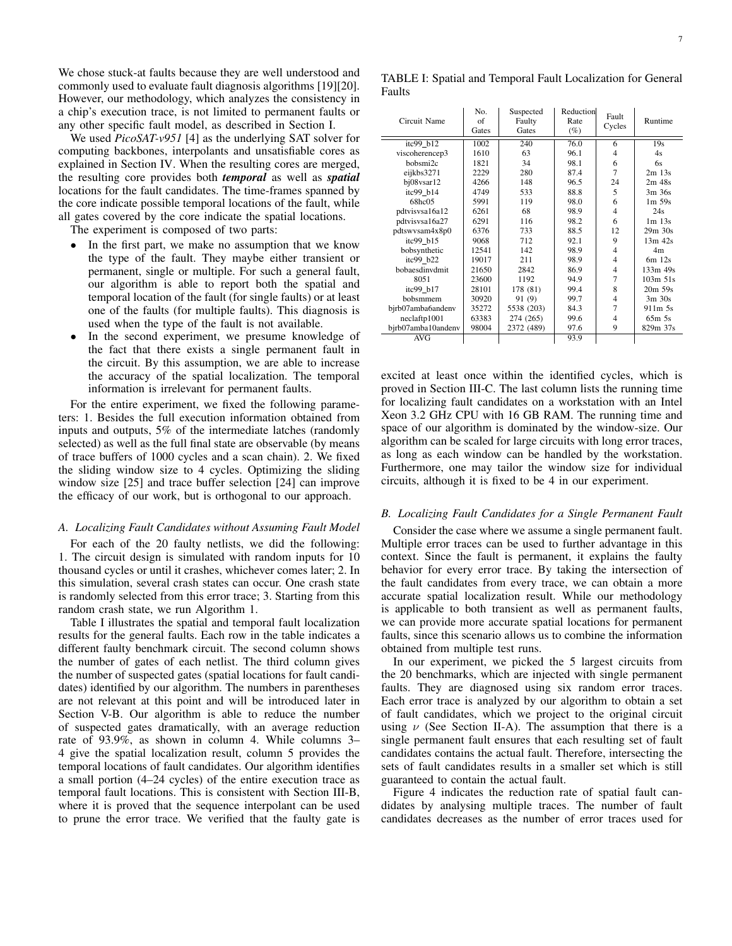We chose stuck-at faults because they are well understood and commonly used to evaluate fault diagnosis algorithms [19][20]. However, our methodology, which analyzes the consistency in a chip's execution trace, is not limited to permanent faults or any other specific fault model, as described in Section I.

We used *PicoSAT-v951* [4] as the underlying SAT solver for computing backbones, interpolants and unsatisfiable cores as explained in Section IV. When the resulting cores are merged, the resulting core provides both *temporal* as well as *spatial* locations for the fault candidates. The time-frames spanned by the core indicate possible temporal locations of the fault, while all gates covered by the core indicate the spatial locations.

The experiment is composed of two parts:

- In the first part, we make no assumption that we know the type of the fault. They maybe either transient or permanent, single or multiple. For such a general fault, our algorithm is able to report both the spatial and temporal location of the fault (for single faults) or at least one of the faults (for multiple faults). This diagnosis is used when the type of the fault is not available.
- In the second experiment, we presume knowledge of the fact that there exists a single permanent fault in the circuit. By this assumption, we are able to increase the accuracy of the spatial localization. The temporal information is irrelevant for permanent faults.

For the entire experiment, we fixed the following parameters: 1. Besides the full execution information obtained from inputs and outputs, 5% of the intermediate latches (randomly selected) as well as the full final state are observable (by means of trace buffers of 1000 cycles and a scan chain). 2. We fixed the sliding window size to 4 cycles. Optimizing the sliding window size [25] and trace buffer selection [24] can improve the efficacy of our work, but is orthogonal to our approach.

#### *A. Localizing Fault Candidates without Assuming Fault Model*

For each of the 20 faulty netlists, we did the following: 1. The circuit design is simulated with random inputs for 10 thousand cycles or until it crashes, whichever comes later; 2. In this simulation, several crash states can occur. One crash state is randomly selected from this error trace; 3. Starting from this random crash state, we run Algorithm 1.

Table I illustrates the spatial and temporal fault localization results for the general faults. Each row in the table indicates a different faulty benchmark circuit. The second column shows the number of gates of each netlist. The third column gives the number of suspected gates (spatial locations for fault candidates) identified by our algorithm. The numbers in parentheses are not relevant at this point and will be introduced later in Section V-B. Our algorithm is able to reduce the number of suspected gates dramatically, with an average reduction rate of 93.9%, as shown in column 4. While columns 3– 4 give the spatial localization result, column 5 provides the temporal locations of fault candidates. Our algorithm identifies a small portion (4–24 cycles) of the entire execution trace as temporal fault locations. This is consistent with Section III-B, where it is proved that the sequence interpolant can be used to prune the error trace. We verified that the faulty gate is

| Circuit Name       | No.<br>of<br>Gates | Suspected<br>Faulty<br>Gates | Reduction<br>Rate<br>(%) | Fault<br>Cycles | Runtime        |
|--------------------|--------------------|------------------------------|--------------------------|-----------------|----------------|
| itc99 b12          | 1002               | 240                          | 76.0                     | 6               | 19s            |
| viscoherencep3     | 1610               | 63                           | 96.1                     | 4               | 4s             |
| bobsmi2c           | 1821               | 34                           | 98.1                     | 6               | 6s             |
| eijkbs3271         | 2229               | 280                          | 87.4                     | $\overline{7}$  | $2m$ 13s       |
| bj08vsar12         | 4266               | 148                          | 96.5                     | 24              | $2m$ 48s       |
| itc99 b14          | 4749               | 533                          | 88.8                     | 5               | 3m 36s         |
| 68hc05             | 5991               | 119                          | 98.0                     | 6               | $1m$ 59s       |
| pdtvisvsa16a12     | 6261               | 68                           | 98.9                     | $\overline{4}$  | 24s            |
| pdtvisvsa16a27     | 6291               | 116                          | 98.2                     | 6               | $1m$ 13s       |
| pdtswysam4x8p0     | 6376               | 733                          | 88.5                     | 12              | $29m$ $30s$    |
| itc99 b15          | 9068               | 712                          | 92.1                     | 9               | $13m$ 42s      |
| bobsynthetic       | 12541              | 142                          | 98.9                     | 4               | 4 <sub>m</sub> |
| $itc99$ $b22$      | 19017              | 211                          | 98.9                     | $\overline{4}$  | $6m$ 12s       |
| bobaesdinydmit     | 21650              | 2842                         | 86.9                     | $\overline{4}$  | 133m 49s       |
| 8051               | 23600              | 1192                         | 94.9                     | $\overline{7}$  | 103m 51s       |
| itc99 b17          | 28101              | 178 (81)                     | 99.4                     | 8               | 20m 59s        |
| bobsmmem           | 30920              | 91 (9)                       | 99.7                     | 4               | $3m$ 30s       |
| bjrb07amba6andenv  | 35272              | 5538 (203)                   | 84.3                     | $\overline{7}$  | $911m$ 5s      |
| neclaftp1001       | 63383              | 274 (265)                    | 99.6                     | 4               | $65m$ 5s       |
| bjrb07amba10andenv | 98004              | 2372 (489)                   | 97.6                     | 9               | 829m 37s       |
| AVG                |                    |                              | 93.9                     |                 |                |

excited at least once within the identified cycles, which is proved in Section III-C. The last column lists the running time for localizing fault candidates on a workstation with an Intel Xeon 3.2 GHz CPU with 16 GB RAM. The running time and space of our algorithm is dominated by the window-size. Our algorithm can be scaled for large circuits with long error traces, as long as each window can be handled by the workstation. Furthermore, one may tailor the window size for individual circuits, although it is fixed to be 4 in our experiment.

#### *B. Localizing Fault Candidates for a Single Permanent Fault*

Consider the case where we assume a single permanent fault. Multiple error traces can be used to further advantage in this context. Since the fault is permanent, it explains the faulty behavior for every error trace. By taking the intersection of the fault candidates from every trace, we can obtain a more accurate spatial localization result. While our methodology is applicable to both transient as well as permanent faults, we can provide more accurate spatial locations for permanent faults, since this scenario allows us to combine the information obtained from multiple test runs.

In our experiment, we picked the 5 largest circuits from the 20 benchmarks, which are injected with single permanent faults. They are diagnosed using six random error traces. Each error trace is analyzed by our algorithm to obtain a set of fault candidates, which we project to the original circuit using  $\nu$  (See Section II-A). The assumption that there is a single permanent fault ensures that each resulting set of fault candidates contains the actual fault. Therefore, intersecting the sets of fault candidates results in a smaller set which is still guaranteed to contain the actual fault.

Figure 4 indicates the reduction rate of spatial fault candidates by analysing multiple traces. The number of fault candidates decreases as the number of error traces used for